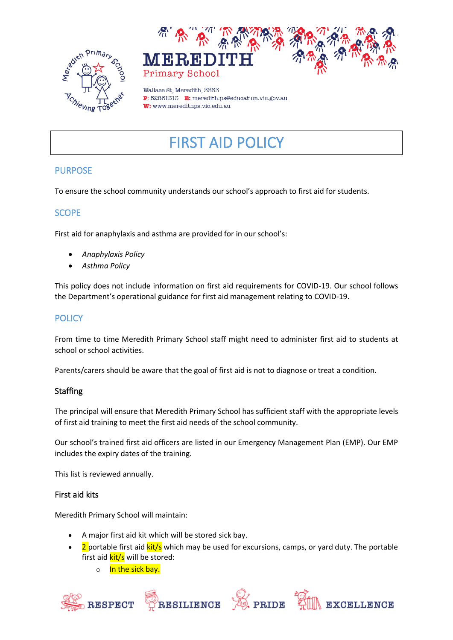



Wallace St. Meredith, 3333 P: 52861313 E: meredith.ps@education.vic.gov.au W: www.meredithps.vic.edu.au

# FIRST AID POLICY

## PURPOSE

To ensure the school community understands our school's approach to first aid for students.

## **SCOPE**

First aid for anaphylaxis and asthma are provided for in our school's:

- *Anaphylaxis Policy*
- *Asthma Policy*

This policy does not include information on first aid requirements for COVID-19. Our school follows the Department's operational guidance for first aid management relating to COVID-19.

# **POLICY**

From time to time Meredith Primary School staff might need to administer first aid to students at school or school activities.

Parents/carers should be aware that the goal of first aid is not to diagnose or treat a condition.

## **Staffing**

The principal will ensure that Meredith Primary School has sufficient staff with the appropriate levels of first aid training to meet the first aid needs of the school community.

Our school's trained first aid officers are listed in our Emergency Management Plan (EMP). Our EMP includes the expiry dates of the training.

This list is reviewed annually.

#### First aid kits

Meredith Primary School will maintain:

- A major first aid kit which will be stored sick bay.
- 2 portable first aid  $\frac{kit}{s}$  which may be used for excursions, camps, or yard duty. The portable first aid **kit/s** will be stored:
	- o In the sick bay.







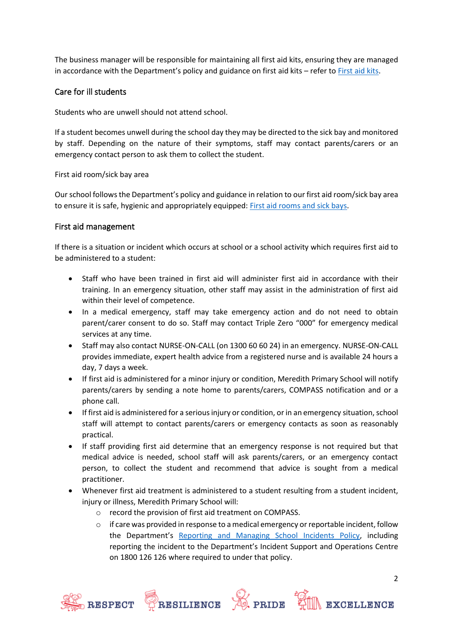The business manager will be responsible for maintaining all first aid kits, ensuring they are managed in accordance with the Department's policy and guidance on first aid kits – refer to [First aid kits.](https://www2.education.vic.gov.au/pal/first-aid-students-and-staff/guidance/first-aid-kits)

#### Care for ill students

Students who are unwell should not attend school.

If a student becomes unwell during the school day they may be directed to the sick bay and monitored by staff. Depending on the nature of their symptoms, staff may contact parents/carers or an emergency contact person to ask them to collect the student.

First aid room/sick bay area

Our school follows the Department's policy and guidance in relation to our first aid room/sick bay area to ensure it is safe, hygienic and appropriately equipped: [First aid rooms and sick bays.](https://www2.education.vic.gov.au/pal/first-aid-students-and-staff/guidance/first-aid-rooms-and-sick-bays)

#### First aid management

If there is a situation or incident which occurs at school or a school activity which requires first aid to be administered to a student:

- Staff who have been trained in first aid will administer first aid in accordance with their training. In an emergency situation, other staff may assist in the administration of first aid within their level of competence.
- In a medical emergency, staff may take emergency action and do not need to obtain parent/carer consent to do so. Staff may contact Triple Zero "000" for emergency medical services at any time.
- Staff may also contact NURSE-ON-CALL (on 1300 60 60 24) in an emergency. NURSE-ON-CALL provides immediate, expert health advice from a registered nurse and is available 24 hours a day, 7 days a week.
- If first aid is administered for a minor injury or condition, Meredith Primary School will notify parents/carers by sending a note home to parents/carers, COMPASS notification and or a phone call.
- If first aid is administered for a serious injury or condition, or in an emergency situation, school staff will attempt to contact parents/carers or emergency contacts as soon as reasonably practical.
- If staff providing first aid determine that an emergency response is not required but that medical advice is needed, school staff will ask parents/carers, or an emergency contact person, to collect the student and recommend that advice is sought from a medical practitioner.
- Whenever first aid treatment is administered to a student resulting from a student incident, injury or illness, Meredith Primary School will:
	- o record the provision of first aid treatment on COMPASS.
	- $\circ$  if care was provided in response to a medical emergency or reportable incident, follow the Department's [Reporting and Managing School Incidents Policy,](https://www2.education.vic.gov.au/pal/reporting-and-managing-school-incidents-including-emergencies/policy) including reporting the incident to the Department's Incident Support and Operations Centre on 1800 126 126 where required to under that policy.